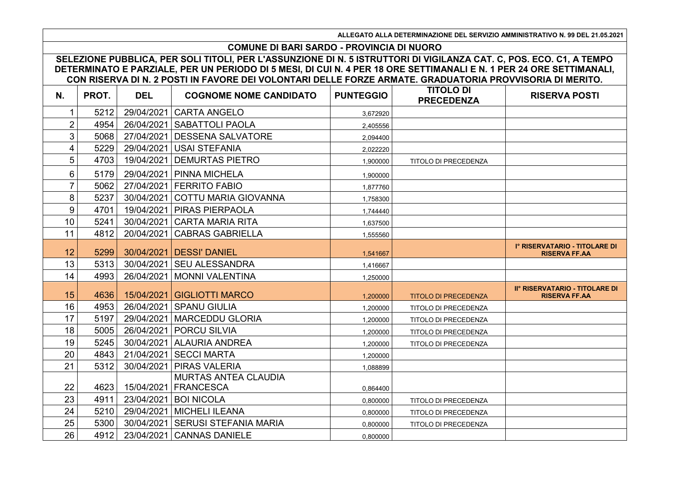**ALLEGATO ALLA DETERMINAZIONE DEL SERVIZIO AMMINISTRATIVO N. 99 DEL 21.05.2021**

## **COMUNE DI BARI SARDO - PROVINCIA DI NUORO**

**SELEZIONE PUBBLICA, PER SOLI TITOLI, PER L'ASSUNZIONE DI N. 5 ISTRUTTORI DI VIGILANZA CAT. C, POS. ECO. C1, A TEMPO DETERMINATO E PARZIALE, PER UN PERIODO DI 5 MESI, DI CUI N. 4 PER 18 ORE SETTIMANALI E N. 1 PER 24 ORE SETTIMANALI, CON RISERVA DI N. 2 POSTI IN FAVORE DEI VOLONTARI DELLE FORZE ARMATE. GRADUATORIA PROVVISORIA DI MERITO.**

| N.             | PROT. | <b>DEL</b> | <b>COGNOME NOME CANDIDATO</b>      | <b>PUNTEGGIO</b> | <b>TITOLO DI</b><br><b>PRECEDENZA</b> | <b>RISERVA POSTI</b>                                   |
|----------------|-------|------------|------------------------------------|------------------|---------------------------------------|--------------------------------------------------------|
| 1              | 5212  | 29/04/2021 | <b>CARTA ANGELO</b>                | 3.672920         |                                       |                                                        |
| $\overline{2}$ | 4954  | 26/04/2021 | <b>SABATTOLI PAOLA</b>             | 2,405556         |                                       |                                                        |
| 3              | 5068  | 27/04/2021 | <b>DESSENA SALVATORE</b>           | 2.094400         |                                       |                                                        |
| 4              | 5229  | 29/04/2021 | <b>USAI STEFANIA</b>               | 2,022220         |                                       |                                                        |
| 5              | 4703  | 19/04/2021 | <b>DEMURTAS PIETRO</b>             | 1,900000         | TITOLO DI PRECEDENZA                  |                                                        |
| 6              | 5179  | 29/04/2021 | <b>PINNA MICHELA</b>               | 1.900000         |                                       |                                                        |
| 7              | 5062  |            | 27/04/2021 FERRITO FABIO           | 1,877760         |                                       |                                                        |
| 8              | 5237  | 30/04/2021 | COTTU MARIA GIOVANNA               | 1,758300         |                                       |                                                        |
| 9              | 4701  | 19/04/2021 | <b>PIRAS PIERPAOLA</b>             | 1,744440         |                                       |                                                        |
| 10             | 5241  | 30/04/2021 | <b>CARTA MARIA RITA</b>            | 1,637500         |                                       |                                                        |
| 11             | 4812  | 20/04/2021 | <b>CABRAS GABRIELLA</b>            | 1,555560         |                                       |                                                        |
| 12             | 5299  |            | 30/04/2021   DESSI' DANIEL         | 1,541667         |                                       | Iº RISERVATARIO - TITOLARE DI<br><b>RISERVA FF.AA</b>  |
| 13             | 5313  | 30/04/2021 | <b>SEU ALESSANDRA</b>              | 1.416667         |                                       |                                                        |
| 14             | 4993  |            | 26/04/2021   MONNI VALENTINA       | 1,250000         |                                       |                                                        |
| 15             | 4636  |            | 15/04/2021   GIGLIOTTI MARCO       | 1,200000         | <b>TITOLO DI PRECEDENZA</b>           | II° RISERVATARIO - TITOLARE DI<br><b>RISERVA FF.AA</b> |
| 16             | 4953  |            | 26/04/2021   SPANU GIULIA          | 1,200000         | TITOLO DI PRECEDENZA                  |                                                        |
| 17             | 5197  |            | 29/04/2021   MARCEDDU GLORIA       | 1,200000         | <b>TITOLO DI PRECEDENZA</b>           |                                                        |
| 18             | 5005  |            | 26/04/2021   PORCU SILVIA          | 1,200000         | TITOLO DI PRECEDENZA                  |                                                        |
| 19             | 5245  | 30/04/2021 | <b>ALAURIA ANDREA</b>              | 1.200000         | <b>TITOLO DI PRECEDENZA</b>           |                                                        |
| 20             | 4843  | 21/04/2021 | <b>SECCI MARTA</b>                 | 1,200000         |                                       |                                                        |
| 21             | 5312  | 30/04/2021 | <b>PIRAS VALERIA</b>               | 1,088899         |                                       |                                                        |
|                |       |            | MURTAS ANTEA CLAUDIA               |                  |                                       |                                                        |
| 22             | 4623  |            | 15/04/2021   FRANCESCA             | 0,864400         |                                       |                                                        |
| 23             | 4911  |            | 23/04/2021   BOI NICOLA            | 0,800000         | TITOLO DI PRECEDENZA                  |                                                        |
| 24             | 5210  |            | 29/04/2021   MICHELI ILEANA        | 0.800000         | TITOLO DI PRECEDENZA                  |                                                        |
| 25             | 5300  |            | 30/04/2021   SERUSI STEFANIA MARIA | 0,800000         | TITOLO DI PRECEDENZA                  |                                                        |
| 26             | 4912  |            | 23/04/2021 CANNAS DANIELE          | 0,800000         |                                       |                                                        |